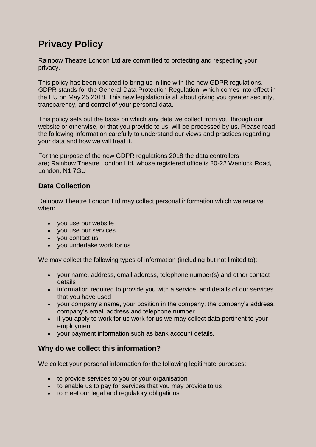# **Privacy Policy**

Rainbow Theatre London Ltd are committed to protecting and respecting your privacy.

This policy has been updated to bring us in line with the new GDPR regulations. GDPR stands for the General Data Protection Regulation, which comes into effect in the EU on May 25 2018. This new legislation is all about giving you greater security, transparency, and control of your personal data.

This policy sets out the basis on which any data we collect from you through our website or otherwise, or that you provide to us, will be processed by us. Please read the following information carefully to understand our views and practices regarding your data and how we will treat it.

For the purpose of the new GDPR regulations 2018 the data controllers are; Rainbow Theatre London Ltd, whose registered office is 20-22 Wenlock Road, London, N1 7GU

## **Data Collection**

Rainbow Theatre London Ltd may collect personal information which we receive when:

- you use our website
- you use our services
- you contact us
- you undertake work for us

We may collect the following types of information (including but not limited to):

- your name, address, email address, telephone number(s) and other contact details
- information required to provide you with a service, and details of our services that you have used
- your company's name, your position in the company; the company's address, company's email address and telephone number
- if you apply to work for us work for us we may collect data pertinent to your employment
- your payment information such as bank account details.

#### **Why do we collect this information?**

We collect your personal information for the following legitimate purposes:

- to provide services to you or your organisation
- to enable us to pay for services that you may provide to us
- to meet our legal and regulatory obligations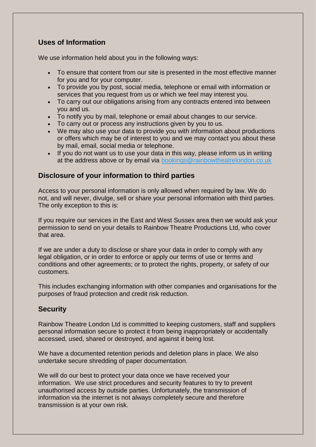### **Uses of Information**

We use information held about you in the following ways:

- To ensure that content from our site is presented in the most effective manner for you and for your computer.
- To provide you by post, social media, telephone or email with information or services that you request from us or which we feel may interest you.
- To carry out our obligations arising from any contracts entered into between you and us.
- To notify you by mail, telephone or email about changes to our service.
- To carry out or process any instructions given by you to us.
- We may also use your data to provide you with information about productions or offers which may be of interest to you and we may contact you about these by mail, email, social media or telephone.
- If you do not want us to use your data in this way, please inform us in writing at the address above or by email via [bookings@rainbowtheatrelondon.co.uk](mailto:bookings@rainbowtheatrelondon.co.uk)

#### **Disclosure of your information to third parties**

Access to your personal information is only allowed when required by law. We do not, and will never, divulge, sell or share your personal information with third parties. The only exception to this is:

If you require our services in the East and West Sussex area then we would ask your permission to send on your details to Rainbow Theatre Productions Ltd, who cover that area.

If we are under a duty to disclose or share your data in order to comply with any legal obligation, or in order to enforce or apply our terms of use or terms and conditions and other agreements; or to protect the rights, property, or safety of our customers.

This includes exchanging information with other companies and organisations for the purposes of fraud protection and credit risk reduction.

## **Security**

Rainbow Theatre London Ltd is committed to keeping customers, staff and suppliers personal information secure to protect it from being inappropriately or accidentally accessed, used, shared or destroyed, and against it being lost.

We have a documented retention periods and deletion plans in place. We also undertake secure shredding of paper documentation.

We will do our best to protect your data once we have received your information. We use strict procedures and security features to try to prevent unauthorised access by outside parties. Unfortunately, the transmission of information via the internet is not always completely secure and therefore transmission is at your own risk.